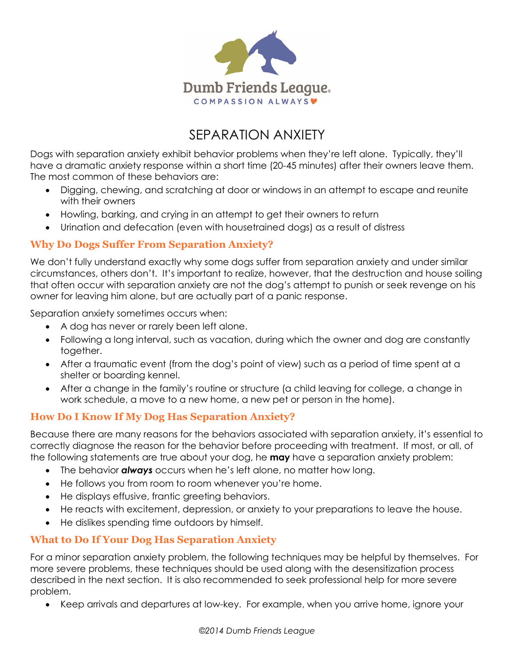

# SEPARATION ANXIETY

Dogs with separation anxiety exhibit behavior problems when they're left alone. Typically, they'll have a dramatic anxiety response within a short time (20-45 minutes) after their owners leave them. The most common of these behaviors are:

- Digging, chewing, and scratching at door or windows in an attempt to escape and reunite with their owners
- Howling, barking, and crying in an attempt to get their owners to return
- Urination and defecation (even with housetrained dogs) as a result of distress

#### **Why Do Dogs Suffer From Separation Anxiety?**

We don't fully understand exactly why some dogs suffer from separation anxiety and under similar circumstances, others don't. It's important to realize, however, that the destruction and house soiling that often occur with separation anxiety are not the dog's attempt to punish or seek revenge on his owner for leaving him alone, but are actually part of a panic response.

Separation anxiety sometimes occurs when:

- A dog has never or rarely been left alone.
- Following a long interval, such as vacation, during which the owner and dog are constantly together.
- After a traumatic event (from the dog's point of view) such as a period of time spent at a shelter or boarding kennel.
- After a change in the family's routine or structure (a child leaving for college, a change in work schedule, a move to a new home, a new pet or person in the home).

## **How Do I Know If My Dog Has Separation Anxiety?**

Because there are many reasons for the behaviors associated with separation anxiety, it's essential to correctly diagnose the reason for the behavior before proceeding with treatment. If most, or all, of the following statements are true about your dog, he **may** have a separation anxiety problem:

- The behavior *always* occurs when he's left alone, no matter how long.
- He follows you from room to room whenever you're home.
- He displays effusive, frantic greeting behaviors.
- He reacts with excitement, depression, or anxiety to your preparations to leave the house.
- He dislikes spending time outdoors by himself.

#### **What to Do If Your Dog Has Separation Anxiety**

For a minor separation anxiety problem, the following techniques may be helpful by themselves. For more severe problems, these techniques should be used along with the desensitization process described in the next section. It is also recommended to seek professional help for more severe problem.

• Keep arrivals and departures at low-key. For example, when you arrive home, ignore your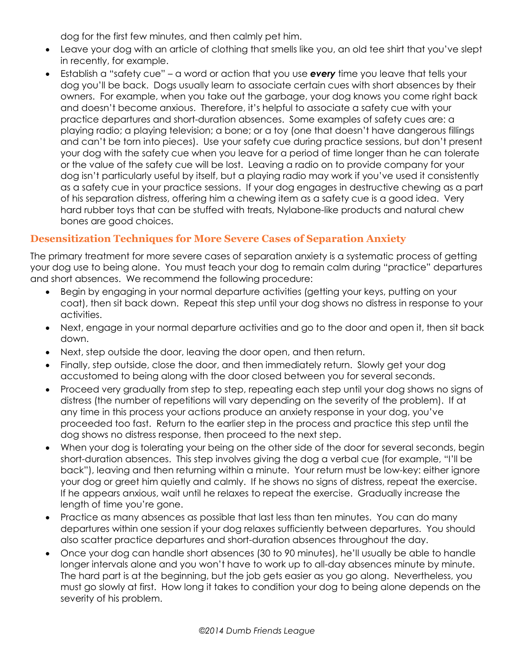dog for the first few minutes, and then calmly pet him.

- Leave your dog with an article of clothing that smells like you, an old tee shirt that you've slept in recently, for example.
- Establish a "safety cue" a word or action that you use *every* time you leave that tells your dog you'll be back. Dogs usually learn to associate certain cues with short absences by their owners. For example, when you take out the garbage, your dog knows you come right back and doesn't become anxious. Therefore, it's helpful to associate a safety cue with your practice departures and short-duration absences. Some examples of safety cues are: a playing radio; a playing television; a bone; or a toy (one that doesn't have dangerous fillings and can't be torn into pieces). Use your safety cue during practice sessions, but don't present your dog with the safety cue when you leave for a period of time longer than he can tolerate or the value of the safety cue will be lost. Leaving a radio on to provide company for your dog isn't particularly useful by itself, but a playing radio may work if you've used it consistently as a safety cue in your practice sessions. If your dog engages in destructive chewing as a part of his separation distress, offering him a chewing item as a safety cue is a good idea. Very hard rubber toys that can be stuffed with treats, Nylabone-like products and natural chew bones are good choices.

## **Desensitization Techniques for More Severe Cases of Separation Anxiety**

The primary treatment for more severe cases of separation anxiety is a systematic process of getting your dog use to being alone. You must teach your dog to remain calm during "practice" departures and short absences. We recommend the following procedure:

- Begin by engaging in your normal departure activities (getting your keys, putting on your coat), then sit back down. Repeat this step until your dog shows no distress in response to your activities.
- Next, engage in your normal departure activities and go to the door and open it, then sit back down.
- Next, step outside the door, leaving the door open, and then return.
- Finally, step outside, close the door, and then immediately return. Slowly get your dog accustomed to being along with the door closed between you for several seconds.
- Proceed very gradually from step to step, repeating each step until your dog shows no signs of distress (the number of repetitions will vary depending on the severity of the problem). If at any time in this process your actions produce an anxiety response in your dog, you've proceeded too fast. Return to the earlier step in the process and practice this step until the dog shows no distress response, then proceed to the next step.
- When your dog is tolerating your being on the other side of the door for several seconds, begin short-duration absences. This step involves giving the dog a verbal cue (for example, "I'll be back"), leaving and then returning within a minute. Your return must be low-key: either ignore your dog or greet him quietly and calmly. If he shows no signs of distress, repeat the exercise. If he appears anxious, wait until he relaxes to repeat the exercise. Gradually increase the length of time you're gone.
- Practice as many absences as possible that last less than ten minutes. You can do many departures within one session if your dog relaxes sufficiently between departures. You should also scatter practice departures and short-duration absences throughout the day.
- Once your dog can handle short absences (30 to 90 minutes), he'll usually be able to handle longer intervals alone and you won't have to work up to all-day absences minute by minute. The hard part is at the beginning, but the job gets easier as you go along. Nevertheless, you must go slowly at first. How long it takes to condition your dog to being alone depends on the severity of his problem.